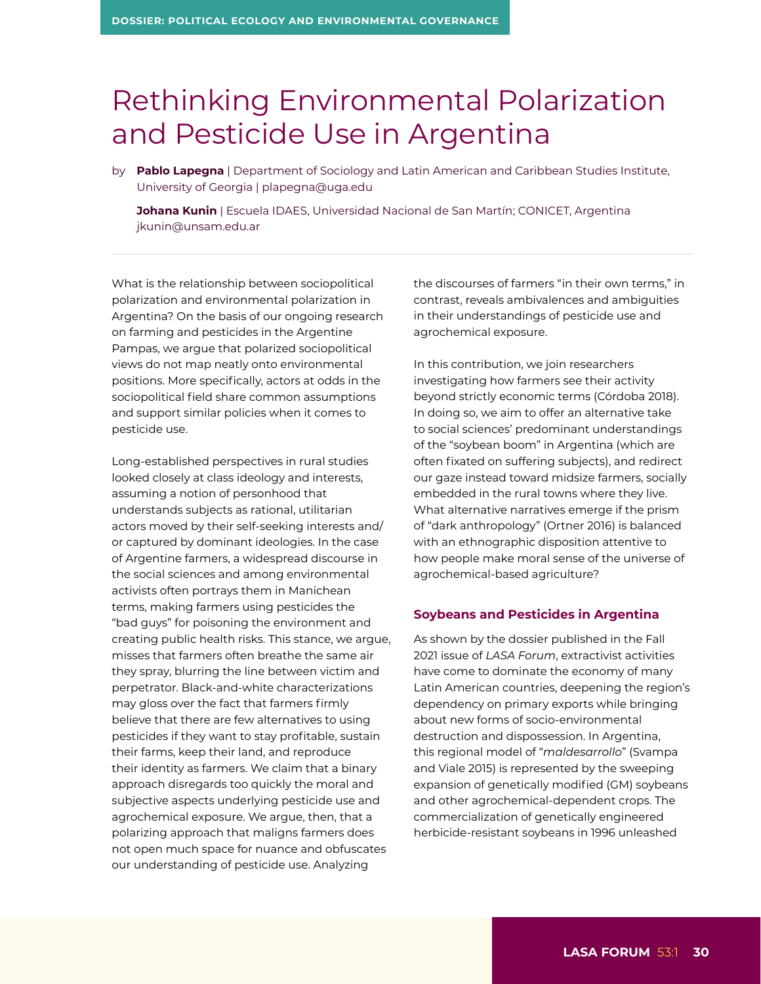# Rethinking Environmental Polarization and Pesticide Use in Argentina

by **Pablo Lapegna** | Department of Sociology and Latin American and Caribbean Studies Institute, University of Georgia | [plapegna@uga.edu](mailto:plapegna@uga.edu)

 **Johana Kunin** | Escuela IDAES, Universidad Nacional de San Martín; CONICET, Argentina [jkunin@unsam.edu.ar](mailto:jkunin@unsam.edu.ar)

What is the relationship between sociopolitical polarization and environmental polarization in Argentina? On the basis of our ongoing research on farming and pesticides in the Argentine Pampas, we argue that polarized sociopolitical views do not map neatly onto environmental positions. More specifically, actors at odds in the sociopolitical field share common assumptions and support similar policies when it comes to pesticide use.

Long-established perspectives in rural studies looked closely at class ideology and interests, assuming a notion of personhood that understands subjects as rational, utilitarian actors moved by their self-seeking interests and/ or captured by dominant ideologies. In the case of Argentine farmers, a widespread discourse in the social sciences and among environmental activists often portrays them in Manichean terms, making farmers using pesticides the "bad guys" for poisoning the environment and creating public health risks. This stance, we argue, misses that farmers often breathe the same air they spray, blurring the line between victim and perpetrator. Black-and-white characterizations may gloss over the fact that farmers firmly believe that there are few alternatives to using pesticides if they want to stay profitable, sustain their farms, keep their land, and reproduce their identity as farmers. We claim that a binary approach disregards too quickly the moral and subjective aspects underlying pesticide use and agrochemical exposure. We argue, then, that a polarizing approach that maligns farmers does not open much space for nuance and obfuscates our understanding of pesticide use. Analyzing

the discourses of farmers "in their own terms," in contrast, reveals ambivalences and ambiguities in their understandings of pesticide use and agrochemical exposure.

In this contribution, we join researchers investigating how farmers see their activity beyond strictly economic terms (Córdoba 2018). In doing so, we aim to offer an alternative take to social sciences' predominant understandings of the "soybean boom" in Argentina (which are often fixated on suffering subjects), and redirect our gaze instead toward midsize farmers, socially embedded in the rural towns where they live. What alternative narratives emerge if the prism of "dark anthropology" (Ortner 2016) is balanced with an ethnographic disposition attentive to how people make moral sense of the universe of agrochemical-based agriculture?

#### **Soybeans and Pesticides in Argentina**

As shown by the dossier published in the Fall 2021 issue of *LASA Forum*, extractivist activities have come to dominate the economy of many Latin American countries, deepening the region's dependency on primary exports while bringing about new forms of socio-environmental destruction and dispossession. In Argentina, this regional model of "*maldesarrollo*" (Svampa and Viale 2015) is represented by the sweeping expansion of genetically modified (GM) soybeans and other agrochemical-dependent crops. The commercialization of genetically engineered herbicide-resistant soybeans in 1996 unleashed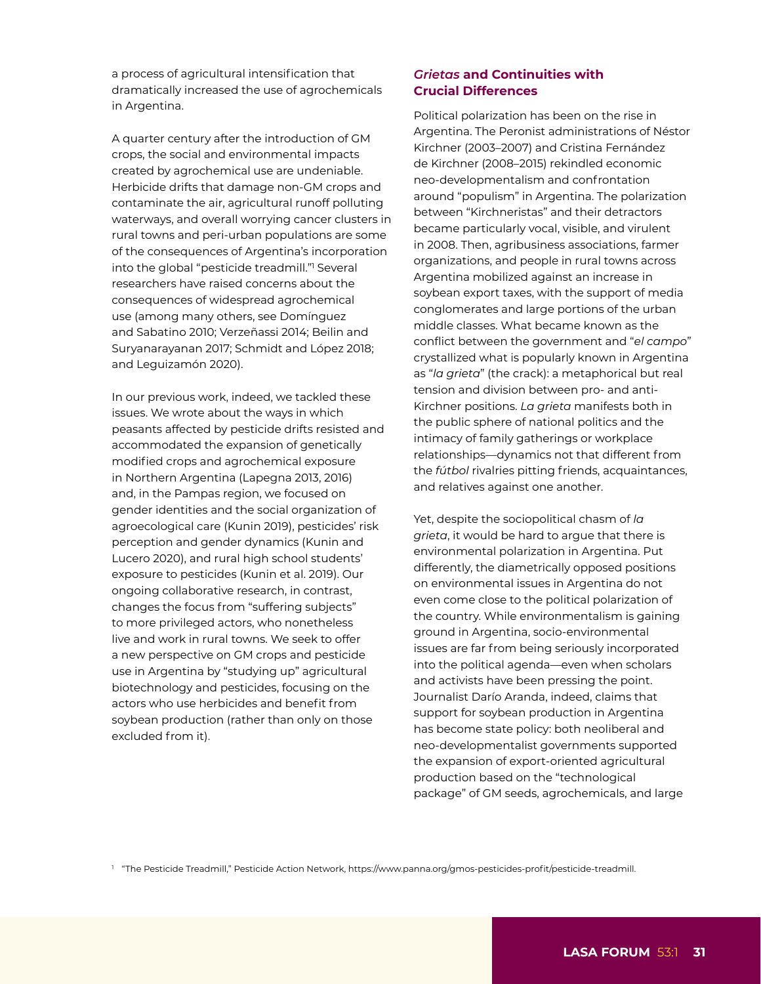a process of agricultural intensification that dramatically increased the use of agrochemicals in Argentina.

A quarter century after the introduction of GM crops, the social and environmental impacts created by agrochemical use are undeniable. Herbicide drifts that damage non-GM crops and contaminate the air, agricultural runoff polluting waterways, and overall worrying cancer clusters in rural towns and peri-urban populations are some of the consequences of Argentina's incorporation into the global ["](https://www.panna.org/gmos-pesticides-profit/pesticide-treadmill)pesticide treadmill."1 Several researchers have raised concerns about the consequences of widespread agrochemical use (among many others, see Domínguez and Sabatino 2010; Verzeñassi 2014; Beilin and Suryanarayanan 2017; Schmidt and López 2018; and Leguizamón 2020).

In our previous work, indeed, we tackled these issues. We wrote about the ways in which peasants affected by pesticide drifts resisted and accommodated the expansion of genetically modified crops and agrochemical exposure in Northern Argentina (Lapegna 2013, 2016) and, in the Pampas region, we focused on gender identities and the social organization of agroecological care (Kunin 2019), pesticides' risk perception and gender dynamics (Kunin and Lucero 2020), and rural high school students' exposure to pesticides (Kunin et al. 2019). Our ongoing collaborative research, in contrast, changes the focus from "suffering subjects" to more privileged actors, who nonetheless live and work in rural towns. We seek to offer a new perspective on GM crops and pesticide use in Argentina by "studying up" agricultural biotechnology and pesticides, focusing on the actors who use herbicides and benefit from soybean production (rather than only on those excluded from it).

## *Grietas* **and Continuities with Crucial Differences**

Political polarization has been on the rise in Argentina. The Peronist administrations of Néstor Kirchner (2003–2007) and Cristina Fernández de Kirchner (2008–2015) rekindled economic neo-developmentalism and confrontation around "populism" in Argentina. The polarization between "Kirchneristas" and their detractors became particularly vocal, visible, and virulent in 2008. Then, agribusiness associations, farmer organizations, and people in rural towns across Argentina mobilized against an increase in soybean export taxes, with the support of media conglomerates and large portions of the urban middle classes. What became known as the conflict between the government and "*el campo*" crystallized what is popularly known in Argentina as "*la grieta*" (the crack): a metaphorical but real tension and division between pro- and anti-Kirchner positions. *La grieta* manifests both in the public sphere of national politics and the intimacy of family gatherings or workplace relationships—dynamics not that different from the *fútbol* rivalries pitting friends, acquaintances, and relatives against one another.

Yet, despite the sociopolitical chasm of *la grieta*, it would be hard to argue that there is environmental polarization in Argentina. Put differently, the diametrically opposed positions on environmental issues in Argentina do not even come close to the political polarization of the country. While environmentalism is gaining ground in Argentina, socio-environmental issues are far from being seriously incorporated into the political agenda—even when scholars and activists have been pressing the point. Journalist Darío Aranda, indeed, claims that support for soybean production in Argentina has become state policy: both neoliberal and neo-developmentalist governments supported the expansion of export-oriented agricultural production based on the "technological package" of GM seeds, agrochemicals, and large

<sup>1</sup> "The Pesticide Treadmill," Pesticide Action Network, [https://www.panna.org/gmos-pesticides-profit/pesticide-](https://www.panna.org/gmos-pesticides-profit/pesticide-treadmill)treadmill.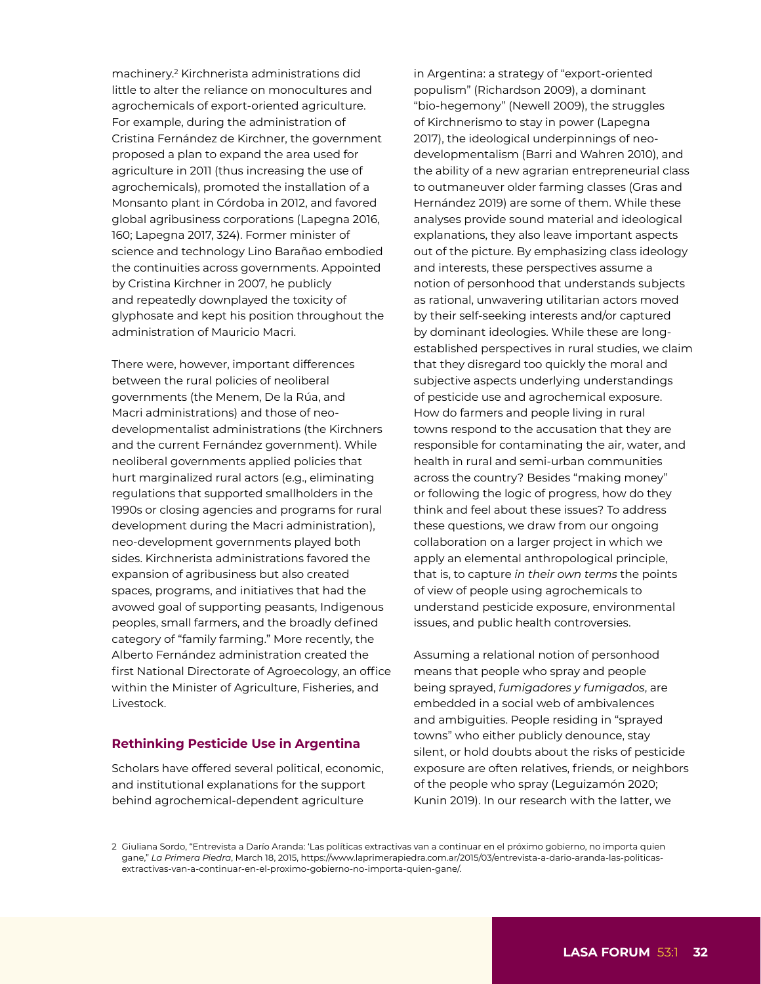machinery.2 Kirchnerista administrations did little to alter the reliance on monocultures and agrochemicals of export-oriented agriculture. For example, during the administration of Cristina Fernández de Kirchner, the government proposed a plan to expand the area used for agriculture in 2011 (thus increasing the use of agrochemicals), promoted the installation of a Monsanto plant in Córdoba in 2012, and favored global agribusiness corporations (Lapegna 2016, 160; Lapegna 2017, 324). Former minister of science and technology Lino Barañao embodied the continuities across governments. Appointed by Cristina Kirchner in 2007, he publicly and repeatedly downplayed the toxicity of glyphosate and kept his position throughout the administration of Mauricio Macri.

There were, however, important differences between the rural policies of neoliberal governments (the Menem, De la Rúa, and Macri administrations) and those of neodevelopmentalist administrations (the Kirchners and the current Fernández government). While neoliberal governments applied policies that hurt marginalized rural actors (e.g., eliminating regulations that supported smallholders in the 1990s or closing agencies and programs for rural development during the Macri administration), neo-development governments played both sides. Kirchnerista administrations favored the expansion of agribusiness but also created spaces, programs, and initiatives that had the avowed goal of supporting peasants, Indigenous peoples, small farmers, and the broadly defined category of "family farming." More recently, the Alberto Fernández administration created the first National Directorate of Agroecology, an office within the Minister of Agriculture, Fisheries, and Livestock.

#### **Rethinking Pesticide Use in Argentina**

Scholars have offered several political, economic, and institutional explanations for the support behind agrochemical-dependent agriculture

in Argentina: a strategy of "export-oriented populism" (Richardson 2009), a dominant "bio-hegemony" (Newell 2009), the struggles of Kirchnerismo to stay in power (Lapegna 2017), the ideological underpinnings of neodevelopmentalism (Barri and Wahren 2010), and the ability of a new agrarian entrepreneurial class to outmaneuver older farming classes (Gras and Hernández 2019) are some of them. While these analyses provide sound material and ideological explanations, they also leave important aspects out of the picture. By emphasizing class ideology and interests, these perspectives assume a notion of personhood that understands subjects as rational, unwavering utilitarian actors moved by their self-seeking interests and/or captured by dominant ideologies. While these are longestablished perspectives in rural studies, we claim that they disregard too quickly the moral and subjective aspects underlying understandings of pesticide use and agrochemical exposure. How do farmers and people living in rural towns respond to the accusation that they are responsible for contaminating the air, water, and health in rural and semi-urban communities across the country? Besides "making money" or following the logic of progress, how do they think and feel about these issues? To address these questions, we draw from our ongoing collaboration on a larger project in which we apply an elemental anthropological principle, that is, to capture *in their own terms* the points of view of people using agrochemicals to understand pesticide exposure, environmental issues, and public health controversies.

Assuming a relational notion of personhood means that people who spray and people being sprayed, *fumigadores y fumigados*, are embedded in a social web of ambivalences and ambiguities. People residing in "sprayed towns" who either publicly denounce, stay silent, or hold doubts about the risks of pesticide exposure are often relatives, friends, or neighbors of the people who spray (Leguizamón 2020; Kunin 2019). In our research with the latter, we

2 Giuliana Sordo, "Entrevista a Darío Aranda: 'Las políticas extractivas van a continuar en el próximo gobierno, no importa quien gane," *La Primera Piedra*, March 18, 2015, [https://www.laprimerapiedra.com.ar/2015/03/entrevista-a-dario-aranda-las-politicas](https://www.laprimerapiedra.com.ar/2015/03/entrevista-a-dario-aranda-las-politicas-extractivas-van-a-continuar-en-el-proximo-gobierno-no-importa-quien-gane/)[extractivas-van-a-continuar-en-el-proximo-gobierno-no-importa-quien-gane/](https://www.laprimerapiedra.com.ar/2015/03/entrevista-a-dario-aranda-las-politicas-extractivas-van-a-continuar-en-el-proximo-gobierno-no-importa-quien-gane/).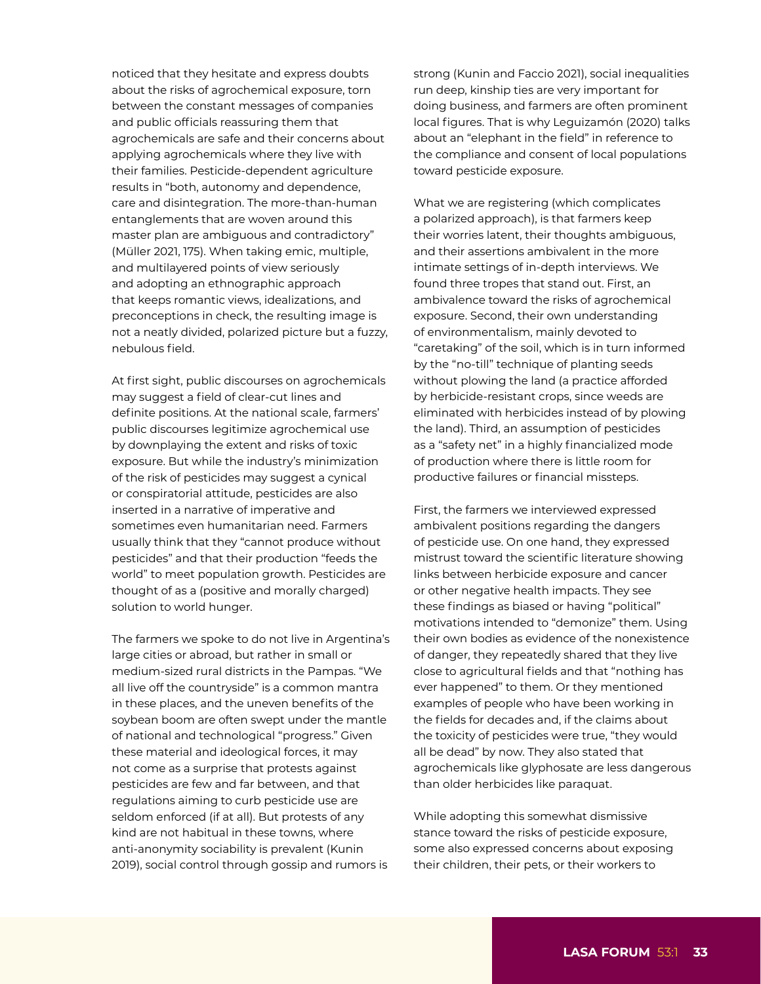noticed that they hesitate and express doubts about the risks of agrochemical exposure, torn between the constant messages of companies and public officials reassuring them that agrochemicals are safe and their concerns about applying agrochemicals where they live with their families. Pesticide-dependent agriculture results in "both, autonomy and dependence, care and disintegration. The more-than-human entanglements that are woven around this master plan are ambiguous and contradictory" (Müller 2021, 175). When taking emic, multiple, and multilayered points of view seriously and adopting an ethnographic approach that keeps romantic views, idealizations, and preconceptions in check, the resulting image is not a neatly divided, polarized picture but a fuzzy, nebulous field.

At first sight, public discourses on agrochemicals may suggest a field of clear-cut lines and definite positions. At the national scale, farmers' public discourses legitimize agrochemical use by downplaying the extent and risks of toxic exposure. But while the industry's minimization of the risk of pesticides may suggest a cynical or conspiratorial attitude, pesticides are also inserted in a narrative of imperative and sometimes even humanitarian need. Farmers usually think that they "cannot produce without pesticides" and that their production "feeds the world" to meet population growth. Pesticides are thought of as a (positive and morally charged) solution to world hunger.

The farmers we spoke to do not live in Argentina's large cities or abroad, but rather in small or medium-sized rural districts in the Pampas. "We all live off the countryside" is a common mantra in these places, and the uneven benefits of the soybean boom are often swept under the mantle of national and technological "progress." Given these material and ideological forces, it may not come as a surprise that protests against pesticides are few and far between, and that regulations aiming to curb pesticide use are seldom enforced (if at all). But protests of any kind are not habitual in these towns, where anti-anonymity sociability is prevalent (Kunin 2019), social control through gossip and rumors is

strong (Kunin and Faccio 2021), social inequalities run deep, kinship ties are very important for doing business, and farmers are often prominent local figures. That is why Leguizamón (2020) talks about an "elephant in the field" in reference to the compliance and consent of local populations toward pesticide exposure.

What we are registering (which complicates a polarized approach), is that farmers keep their worries latent, their thoughts ambiguous, and their assertions ambivalent in the more intimate settings of in-depth interviews. We found three tropes that stand out. First, an ambivalence toward the risks of agrochemical exposure. Second, their own understanding of environmentalism, mainly devoted to "caretaking" of the soil, which is in turn informed by the "no-till" technique of planting seeds without plowing the land (a practice afforded by herbicide-resistant crops, since weeds are eliminated with herbicides instead of by plowing the land). Third, an assumption of pesticides as a "safety net" in a highly financialized mode of production where there is little room for productive failures or financial missteps.

First, the farmers we interviewed expressed ambivalent positions regarding the dangers of pesticide use. On one hand, they expressed mistrust toward the scientific literature showing links between herbicide exposure and cancer or other negative health impacts. They see these findings as biased or having "political" motivations intended to "demonize" them. Using their own bodies as evidence of the nonexistence of danger, they repeatedly shared that they live close to agricultural fields and that "nothing has ever happened" to them. Or they mentioned examples of people who have been working in the fields for decades and, if the claims about the toxicity of pesticides were true, "they would all be dead" by now. They also stated that agrochemicals like glyphosate are less dangerous than older herbicides like paraquat.

While adopting this somewhat dismissive stance toward the risks of pesticide exposure, some also expressed concerns about exposing their children, their pets, or their workers to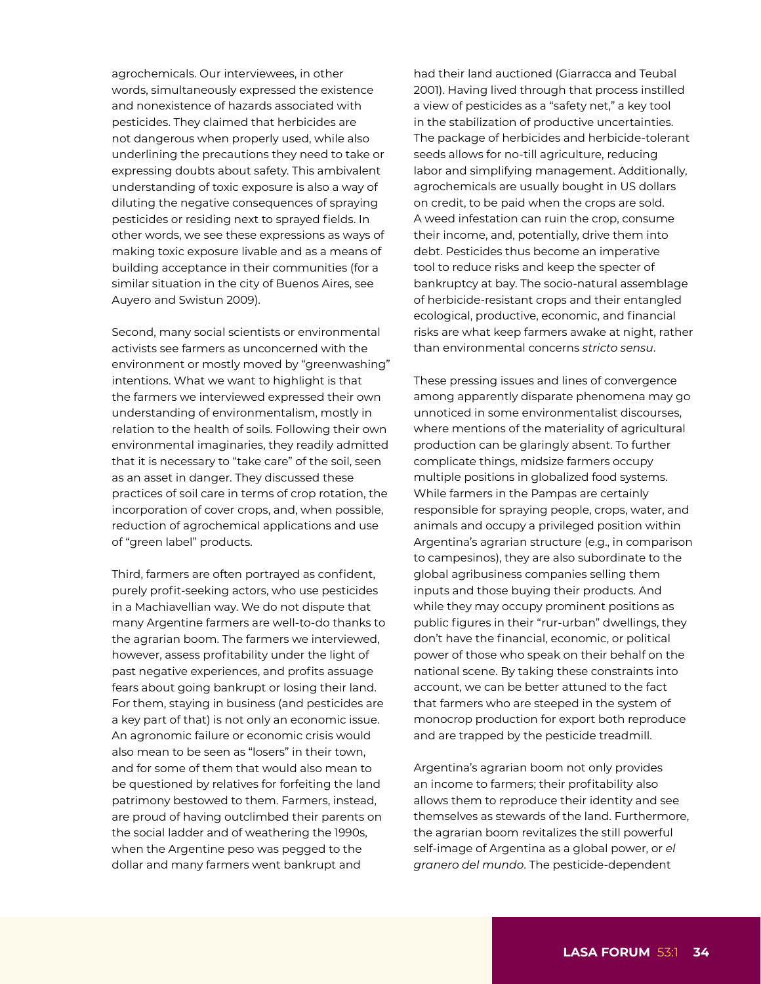agrochemicals. Our interviewees, in other words, simultaneously expressed the existence and nonexistence of hazards associated with pesticides. They claimed that herbicides are not dangerous when properly used, while also underlining the precautions they need to take or expressing doubts about safety. This ambivalent understanding of toxic exposure is also a way of diluting the negative consequences of spraying pesticides or residing next to sprayed fields. In other words, we see these expressions as ways of making toxic exposure livable and as a means of building acceptance in their communities (for a similar situation in the city of Buenos Aires, see Auyero and Swistun 2009).

Second, many social scientists or environmental activists see farmers as unconcerned with the environment or mostly moved by "greenwashing" intentions. What we want to highlight is that the farmers we interviewed expressed their own understanding of environmentalism, mostly in relation to the health of soils. Following their own environmental imaginaries, they readily admitted that it is necessary to "take care" of the soil, seen as an asset in danger. They discussed these practices of soil care in terms of crop rotation, the incorporation of cover crops, and, when possible, reduction of agrochemical applications and use of "green label" products.

Third, farmers are often portrayed as confident, purely profit-seeking actors, who use pesticides in a Machiavellian way. We do not dispute that many Argentine farmers are well-to-do thanks to the agrarian boom. The farmers we interviewed, however, assess profitability under the light of past negative experiences, and profits assuage fears about going bankrupt or losing their land. For them, staying in business (and pesticides are a key part of that) is not only an economic issue. An agronomic failure or economic crisis would also mean to be seen as "losers" in their town, and for some of them that would also mean to be questioned by relatives for forfeiting the land patrimony bestowed to them. Farmers, instead, are proud of having outclimbed their parents on the social ladder and of weathering the 1990s, when the Argentine peso was pegged to the dollar and many farmers went bankrupt and

had their land auctioned (Giarracca and Teubal 2001). Having lived through that process instilled a view of pesticides as a "safety net," a key tool in the stabilization of productive uncertainties. The package of herbicides and herbicide-tolerant seeds allows for no-till agriculture, reducing labor and simplifying management. Additionally, agrochemicals are usually bought in US dollars on credit, to be paid when the crops are sold. A weed infestation can ruin the crop, consume their income, and, potentially, drive them into debt. Pesticides thus become an imperative tool to reduce risks and keep the specter of bankruptcy at bay. The socio-natural assemblage of herbicide-resistant crops and their entangled ecological, productive, economic, and financial risks are what keep farmers awake at night, rather than environmental concerns *stricto sensu*.

These pressing issues and lines of convergence among apparently disparate phenomena may go unnoticed in some environmentalist discourses, where mentions of the materiality of agricultural production can be glaringly absent. To further complicate things, midsize farmers occupy multiple positions in globalized food systems. While farmers in the Pampas are certainly responsible for spraying people, crops, water, and animals and occupy a privileged position within Argentina's agrarian structure (e.g., in comparison to campesinos), they are also subordinate to the global agribusiness companies selling them inputs and those buying their products. And while they may occupy prominent positions as public figures in their "rur-urban" dwellings, they don't have the financial, economic, or political power of those who speak on their behalf on the national scene. By taking these constraints into account, we can be better attuned to the fact that farmers who are steeped in the system of monocrop production for export both reproduce and are trapped by the pesticide treadmill.

Argentina's agrarian boom not only provides an income to farmers; their profitability also allows them to reproduce their identity and see themselves as stewards of the land. Furthermore, the agrarian boom revitalizes the still powerful self-image of Argentina as a global power, or *el granero del mundo*. The pesticide-dependent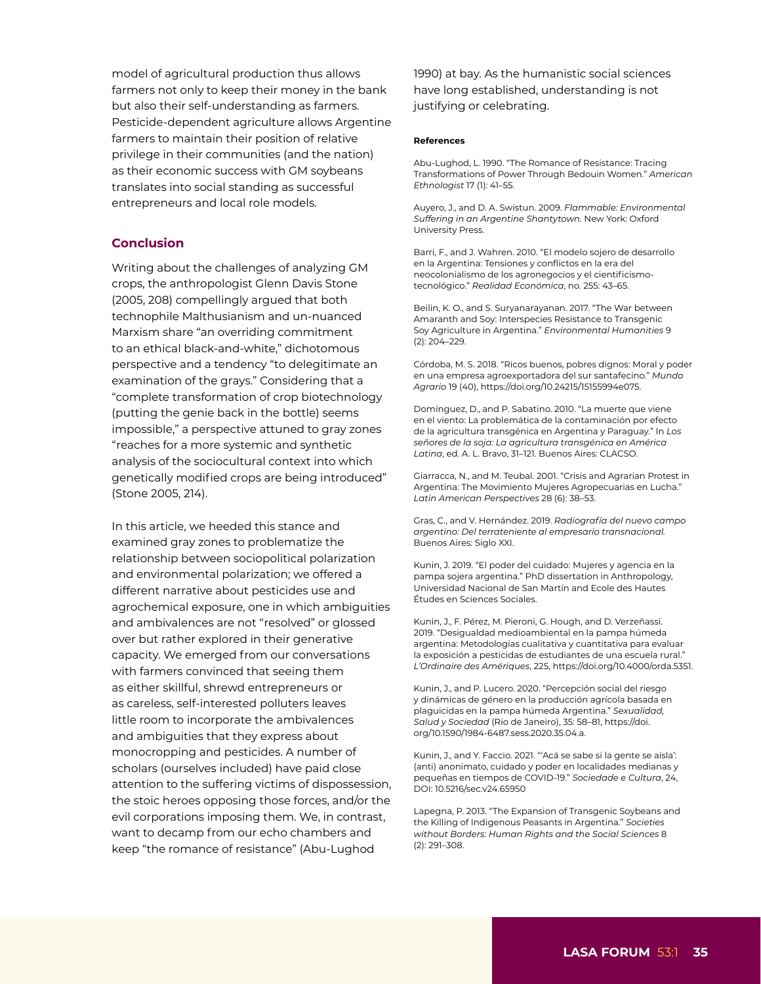model of agricultural production thus allows farmers not only to keep their money in the bank but also their self-understanding as farmers. Pesticide-dependent agriculture allows Argentine farmers to maintain their position of relative privilege in their communities (and the nation) as their economic success with GM soybeans translates into social standing as successful entrepreneurs and local role models.

### **Conclusion**

Writing about the challenges of analyzing GM crops, the anthropologist Glenn Davis Stone (2005, 208) compellingly argued that both technophile Malthusianism and un-nuanced Marxism share "an overriding commitment to an ethical black-and-white," dichotomous perspective and a tendency "to delegitimate an examination of the grays." Considering that a "complete transformation of crop biotechnology (putting the genie back in the bottle) seems impossible," a perspective attuned to gray zones "reaches for a more systemic and synthetic analysis of the sociocultural context into which genetically modified crops are being introduced" (Stone 2005, 214).

In this article, we heeded this stance and examined gray zones to problematize the relationship between sociopolitical polarization and environmental polarization; we offered a different narrative about pesticides use and agrochemical exposure, one in which ambiguities and ambivalences are not "resolved" or glossed over but rather explored in their generative capacity. We emerged from our conversations with farmers convinced that seeing them as either skillful, shrewd entrepreneurs or as careless, self-interested polluters leaves little room to incorporate the ambivalences and ambiguities that they express about monocropping and pesticides. A number of scholars (ourselves included) have paid close attention to the suffering victims of dispossession, the stoic heroes opposing those forces, and/or the evil corporations imposing them. We, in contrast, want to decamp from our echo chambers and keep "the romance of resistance" (Abu-Lughod

1990) at bay. As the humanistic social sciences have long established, understanding is not justifying or celebrating.

#### **References**

Abu-Lughod, L. 1990. "The Romance of Resistance: Tracing Transformations of Power Through Bedouin Women." *American Ethnologist* 17 (1): 41–55.

Auyero, J., and D. A. Swistun. 2009. *Flammable: Environmental Suffering in an Argentine Shantytown.* New York: Oxford University Press.

Barri, F., and J. Wahren. 2010. "El modelo sojero de desarrollo en la Argentina: Tensiones y conflictos en la era del neocolonialismo de los agronegocios y el cientificismotecnológico." *Realidad Económica*, no. 255: 43–65.

Beilin, K. O., and S. Suryanarayanan. 2017. "The War between Amaranth and Soy: Interspecies Resistance to Transgenic Soy Agriculture in Argentina." *Environmental Humanities* 9 (2): 204–229.

Córdoba, M. S. 2018. "Ricos buenos, pobres dignos: Moral y poder en una empresa agroexportadora del sur santafecino." *Mundo Agrario* 19 (40), <https://doi.org/10.24215/15155994e075>.

Domínguez, D., and P. Sabatino. 2010. "La muerte que viene en el viento: La problemática de la contaminación por efecto de la agricultura transgénica en Argentina y Paraguay." In *Los señores de la soja: La agricultura transgénica en América Latina*, ed. A. L. Bravo, 31–121. Buenos Aires: CLACSO.

Giarracca, N., and M. Teubal. 2001. "Crisis and Agrarian Protest in Argentina: The Movimiento Mujeres Agropecuarias en Lucha." *Latin American Perspectives* 28 (6): 38–53.

Gras, C., and V. Hernández. 2019. *Radiografía del nuevo campo argentino: Del terrateniente al empresario transnacional.*  Buenos Aires: Siglo XXI.

Kunin, J. 2019. "El poder del cuidado: Mujeres y agencia en la pampa sojera argentina." PhD dissertation in Anthropology, Universidad Nacional de San Martín and Ecole des Hautes Études en Sciences Sociales.

Kunin, J., F. Pérez, M. Pieroni, G. Hough, and D. Verzeñassi. 2019. "Desigualdad medioambiental en la pampa húmeda argentina: Metodologías cualitativa y cuantitativa para evaluar la exposición a pesticidas de estudiantes de una escuela rural." *L'Ordinaire des Amériques*, 225, <https://doi.org/10.4000/orda.5351>.

Kunin, J., and P. Lucero. 2020. "Percepción social del riesgo y dinámicas de género en la producción agrícola basada en plaguicidas en la pampa húmeda Argentina." *Sexualidad, Salud y Sociedad* (Rio de Janeiro), 35: 58–81, [https://doi.](https://doi.org/10.1590/1984-6487.sess.2020.35.04.a) [org/10.1590/1984-6487.sess.2020.35.04.a](https://doi.org/10.1590/1984-6487.sess.2020.35.04.a).

Kunin, J., and Y. Faccio. 2021. "'Acá se sabe si la gente se aísla': (anti) anonimato, cuidado y poder en localidades medianas y pequeñas en tiempos de COVID-19." *Sociedade e Cultura*, 24, DOI: [10.5216/sec.v24.65950](https://doi.org/10.5216/sec.v24.65950) 

Lapegna, P. 2013. "The Expansion of Transgenic Soybeans and the Killing of Indigenous Peasants in Argentina." *Societies without Borders: Human Rights and the Social Sciences* 8 (2): 291–308.